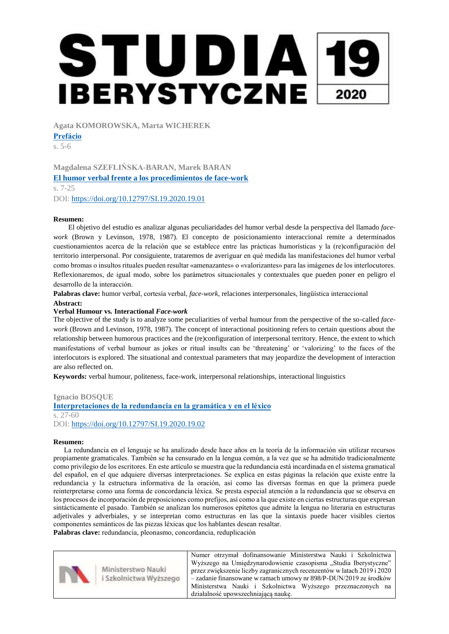**Agata KOMOROWSKA, Marta WICHEREK**

**[Prefácio](https://filg.uj.edu.pl/documents/41616/148290867/2387.pdf/d51ddb64-32d4-4be1-af65-4561ce497fd7)**

s. 5-6

**Magdalena SZEFLIŃSKA-BARAN, Marek BARAN [El humor verbal frente a los procedimientos de face-work](https://filg.uj.edu.pl/documents/41616/148290867/2386.pdf/c8bc1e8c-c306-454a-a234-0d19e7e2b46d)** s. 7-25 DOI: <https://doi.org/10.12797/SI.19.2020.19.01>

## **Resumen:**

El objetivo del estudio es analizar algunas peculiaridades del humor verbal desde la perspectiva del llamado *facework* (Brown y Levinson, 1978, 1987). El concepto de posicionamiento interaccional remite a determinados cuestionamientos acerca de la relación que se establece entre las prácticas humorísticas y la (re)configuración del territorio interpersonal. Por consiguiente, trataremos de averiguar en qué medida las manifestaciones del humor verbal como bromas o insultos rituales pueden resultar «amenazantes» o «valorizantes» para las imágenes de los interlocutores. Reflexionaremos, de igual modo, sobre los parámetros situacionales y contextuales que pueden poner en peligro el desarrollo de la interacción.

**Palabras clave:** humor verbal, cortesía verbal, *face-work*, relaciones interpersonales, lingüística interaccional

#### **Abstract:**

## **Verbal Humour vs***.* **Interactional** *Face-work*

The objective of the study is to analyze some peculiarities of verbal humour from the perspective of the so-called *facework* (Brown and Levinson, 1978, 1987). The concept of interactional positioning refers to certain questions about the relationship between humorous practices and the (re)configuration of interpersonal territory. Hence, the extent to which manifestations of verbal humour as jokes or ritual insults can be 'threatening' or 'valorizing' to the faces of the interlocutors is explored. The situational and contextual parameters that may jeopardize the development of interaction are also reflected on.

**Keywords:** verbal humour, politeness, face-work, interpersonal relationships, interactional linguistics

#### **Ignacio BOSQUE**

**[Interpretaciones de la redundancia en la gramática y en el léxico](https://filg.uj.edu.pl/documents/41616/148290867/2388.pdf/44e9a8d2-19b8-4531-aafc-ae1c69044aa2)** s. 27-60 DOI: <https://doi.org/10.12797/SI.19.2020.19.02>

#### **Resumen:**

La redundancia en el lenguaje se ha analizado desde hace años en la teoría de la información sin utilizar recursos propiamente gramaticales. También se ha censurado en la lengua común, a la vez que se ha admitido tradicionalmente como privilegio de los escritores. En este artículo se muestra que la redundancia está incardinada en el sistema gramatical del español, en el que adquiere diversas interpretaciones. Se explica en estas páginas la relación que existe entre la redundancia y la estructura informativa de la oración, así como las diversas formas en que la primera puede reinterpretarse como una forma de concordancia léxica. Se presta especial atención a la redundancia que se observa en los procesos de incorporación de preposiciones como prefijos, así como a la que existe en ciertas estructuras que expresan sintácticamente el pasado. También se analizan los numerosos epítetos que admite la lengua no literaria en estructuras adjetivales y adverbiales, y se interpretan como estructuras en las que la sintaxis puede hacer visibles ciertos componentes semánticos de las piezas léxicas que los hablantes desean resaltar.

**Palabras clave:** redundancia, pleonasmo, concordancia, reduplicación

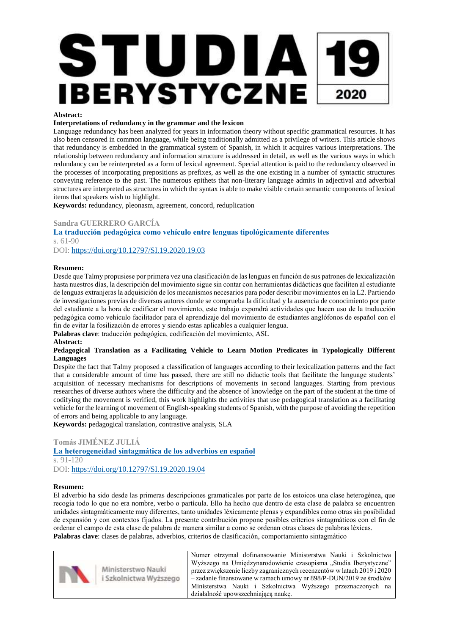#### **Abstract:**

#### **Interpretations of redundancy in the grammar and the lexicon**

Language redundancy has been analyzed for years in information theory without specific grammatical resources. It has also been censored in common language, while being traditionally admitted as a privilege of writers. This article shows that redundancy is embedded in the grammatical system of Spanish, in which it acquires various interpretations. The relationship between redundancy and information structure is addressed in detail, as well as the various ways in which redundancy can be reinterpreted as a form of lexical agreement. Special attention is paid to the redundancy observed in the processes of incorporating prepositions as prefixes, as well as the one existing in a number of syntactic structures conveying reference to the past. The numerous epithets that non-literary language admits in adjectival and adverbial structures are interpreted as structures in which the syntax is able to make visible certain semantic components of lexical items that speakers wish to highlight.

**Keywords:** redundancy, pleonasm, agreement, concord, reduplication

## **Sandra GUERRERO GARCÍA**

**[La traducción pedagógica como vehículo entre lenguas tipológicamente diferentes](https://filg.uj.edu.pl/documents/41616/148290867/2389.pdf/a7bcddfa-f63b-4ad3-be9b-15da4d92a1aa)** s. 61-90 DOI: <https://doi.org/10.12797/SI.19.2020.19.03>

#### **Resumen:**

Desde que Talmy propusiese por primera vez una clasificación de las lenguas en función de sus patrones de lexicalización hasta nuestros días, la descripción del movimiento sigue sin contar con herramientas didácticas que faciliten al estudiante de lenguas extranjeras la adquisición de los mecanismos necesarios para poder describir movimientos en la L2. Partiendo de investigaciones previas de diversos autores donde se comprueba la dificultad y la ausencia de conocimiento por parte del estudiante a la hora de codificar el movimiento, este trabajo expondrá actividades que hacen uso de la traducción pedagógica como vehículo facilitador para el aprendizaje del movimiento de estudiantes anglófonos de español con el fin de evitar la fosilización de errores y siendo estas aplicables a cualquier lengua.

**Palabras clave**: traducción pedagógica, codificación del movimiento, ASL

#### **Abstract:**

#### **Pedagogical Translation as a Facilitating Vehicle to Learn Motion Predicates in Typologically Different Languages**

Despite the fact that Talmy proposed a classification of languages according to their lexicalization patterns and the fact that a considerable amount of time has passed, there are still no didactic tools that facilitate the language students' acquisition of necessary mechanisms for descriptions of movements in second languages. Starting from previous researches of diverse authors where the difficulty and the absence of knowledge on the part of the student at the time of codifying the movement is verified, this work highlights the activities that use pedagogical translation as a facilitating vehicle for the learning of movement of English-speaking students of Spanish, with the purpose of avoiding the repetition of errors and being applicable to any language.

**Keywords:** pedagogical translation, contrastive analysis, SLA

#### **Tomás JIMÉNEZ JULIÁ**

### **[La heterogeneidad sintagmática de los adverbios en español](https://filg.uj.edu.pl/documents/41616/148290867/2390.pdf/c78ee05a-4e92-4437-b825-842d52fea452)** s. 91-120 DOI: <https://doi.org/10.12797/SI.19.2020.19.04>

#### **Resumen:**

El adverbio ha sido desde las primeras descripciones gramaticales por parte de los estoicos una clase heterogénea, que recogía todo lo que no era nombre, verbo o partícula. Ello ha hecho que dentro de esta clase de palabra se encuentren unidades sintagmáticamente muy diferentes, tanto unidades léxicamente plenas y expandibles como otras sin posibilidad de expansión y con contextos fijados. La presente contribución propone posibles criterios sintagmáticos con el fin de ordenar el campo de esta clase de palabra de manera similar a como se ordenan otras clases de palabras léxicas. **Palabras clave**: clases de palabras, adverbios, criterios de clasificación, comportamiento sintagmático

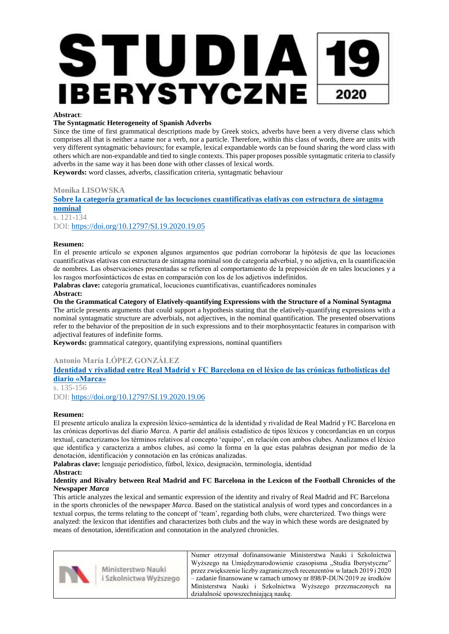#### **Abstract**:

## **The Syntagmatic Heterogeneity of Spanish Adverbs**

Since the time of first grammatical descriptions made by Greek stoics, adverbs have been a very diverse class which comprises all that is neither a name nor a verb, nor a particle. Therefore, within this class of words, there are units with very different syntagmatic behaviours; for example, lexical expandable words can be found sharing the word class with others which are non-expandable and tied to single contexts. This paper proposes possible syntagmatic criteria to classify adverbs in the same way it has been done with other classes of lexical words.

**Keywords:** word classes, adverbs, classification criteria, syntagmatic behaviour

#### **Monika LISOWSKA**

## **[Sobre la categoría gramatical de las locuciones cuantificativas elativas con estructura de sintagma](https://filg.uj.edu.pl/documents/41616/148290867/2391.pdf/5e87a58d-8760-471d-a576-46a432d284de)  [nominal](https://filg.uj.edu.pl/documents/41616/148290867/2391.pdf/5e87a58d-8760-471d-a576-46a432d284de)** s. 121-134

DOI: <https://doi.org/10.12797/SI.19.2020.19.05>

#### **Resumen:**

En el presente artículo se exponen algunos argumentos que podrían corroborar la hipótesis de que las locuciones cuantificativas elativas con estructura de sintagma nominal son de categoría adverbial, y no adjetiva, en la cuantificación de nombres. Las observaciones presentadas se refieren al comportamiento de la preposición *de* en tales locuciones y a los rasgos morfosintácticos de estas en comparación con los de los adjetivos indefinidos.

**Palabras clave:** categoría gramatical, locuciones cuantificativas, cuantificadores nominales

#### **Abstract:**

**On the Grammatical Category of Elatively-quantifying Expressions with the Structure of a Nominal Syntagma**  The article presents arguments that could support a hypothesis stating that the elatively-quantifying expressions with a nominal syntagmatic structure are adverbials, not adjectives, in the nominal quantification. The presented observations refer to the behavior of the preposition *de* in such expressions and to their morphosyntactic features in comparison with adjectival features of indefinite forms.

**Keywords:** grammatical category, quantifying expressions, nominal quantifiers

## **Antonio María LÓPEZ GONZÁLEZ**

## **[Identidad y rivalidad entre Real Madrid y FC Barcelona en el léxico de las crónicas futbolísticas del](https://filg.uj.edu.pl/documents/41616/148290867/2392.pdf/6c052118-1476-4db6-ac71-26993427b797)  [diario «Marca»](https://filg.uj.edu.pl/documents/41616/148290867/2392.pdf/6c052118-1476-4db6-ac71-26993427b797)**

s. 135-156 DOI: <https://doi.org/10.12797/SI.19.2020.19.06>

#### **Resumen:**

El presente artículo analiza la expresión léxico-semántica de la identidad y rivalidad de Real Madrid y FC Barcelona en las crónicas deportivas del diario *Marca.* A partir del análisis estadístico de tipos léxicos y concordancias en un corpus textual, caracterizamos los términos relativos al concepto 'equipo', en relación con ambos clubes. Analizamos el léxico que identifica y caracteriza a ambos clubes, así como la forma en la que estas palabras designan por medio de la denotación, identificación y connotación en las crónicas analizadas.

**Palabras clave:** lenguaje periodístico, fútbol, léxico, designación, terminología, identidad **Abstract:**

#### **Identity and Rivalry between Real Madrid and FC Barcelona in the Lexicon of the Football Chronicles of the Newspaper** *Marca*

This article analyzes the lexical and semantic expression of the identity and rivalry of Real Madrid and FC Barcelona in the sports chronicles of the newspaper *Marca.* Based on the statistical analysis of word types and concordances in a textual corpus, the terms relating to the concept of 'team', regarding both clubs, were charcterized. Two things were analyzed: the lexicon that identifies and characterizes both clubs and the way in which these words are designated by means of denotation, identification and connotation in the analyzed chronicles.

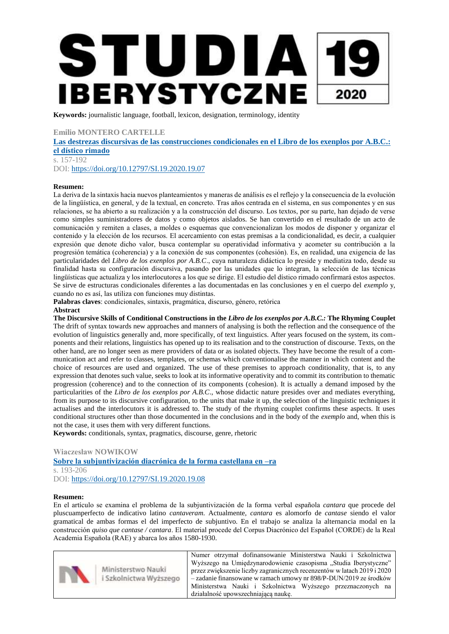**Keywords:** journalistic language, football, lexicon, designation, terminology, identity

## **Emilio MONTERO CARTELLE**

**[Las destrezas discursivas de las construcciones condicionales en el Libro de los exenplos por A.B.C.:](https://filg.uj.edu.pl/documents/41616/148290867/2393.pdf/825836b5-9d55-4967-949b-49c0940562c5)  [el dístico rimado](https://filg.uj.edu.pl/documents/41616/148290867/2393.pdf/825836b5-9d55-4967-949b-49c0940562c5)** s. 157-192

DOI: <https://doi.org/10.12797/SI.19.2020.19.07>

#### **Resumen:**

La deriva de la sintaxis hacia nuevos planteamientos y maneras de análisis es el reflejo y la consecuencia de la evolución de la lingüística, en general, y de la textual, en concreto. Tras años centrada en el sistema, en sus componentes y en sus relaciones, se ha abierto a su realización y a la construcción del discurso. Los textos, por su parte, han dejado de verse como simples suministradores de datos y como objetos aislados. Se han convertido en el resultado de un acto de comunicación y remiten a clases, a moldes o esquemas que convencionalizan los modos de disponer y organizar el contenido y la elección de los recursos. El acercamiento con estas premisas a la condicionalidad, es decir, a cualquier expresión que denote dicho valor, busca contemplar su operatividad informativa y acometer su contribución a la progresión temática (coherencia) y a la conexión de sus componentes (cohesión). Es, en realidad, una exigencia de las particularidades del *Libro de los exenplos por A.B.C*., cuya naturaleza didáctica lo preside y mediatiza todo, desde su finalidad hasta su configuración discursiva, pasando por las unidades que lo integran, la selección de las técnicas lingüísticas que actualiza y los interlocutores a los que se dirige. El estudio del dístico rimado confirmará estos aspectos. Se sirve de estructuras condicionales diferentes a las documentadas en las conclusiones y en el cuerpo del *exemplo* y, cuando no es así, las utiliza con funciones muy distintas.

**Palabras claves**: condicionales, sintaxis, pragmática, discurso, género, retórica **Abstract** 

**The Discursive Skills of Conditional Constructions in the** *Libro de los exenplos por A.B.C.:* **The Rhyming Couplet**  The drift of syntax towards new approaches and manners of analysing is both the reflection and the consequence of the evolution of linguistics generally and, more specifically, of text linguistics. After years focused on the system, its components and their relations, linguistics has opened up to its realisation and to the construction of discourse. Texts, on the other hand, are no longer seen as mere providers of data or as isolated objects. They have become the result of a communication act and refer to classes, templates, or schemas which conventionalise the manner in which content and the choice of resources are used and organized. The use of these premises to approach conditionality, that is, to any expression that denotes such value, seeks to look at its informative operativity and to commit its contribution to thematic progression (coherence) and to the connection of its components (cohesion). It is actually a demand imposed by the particularities of the *Libro de los exenplos por A.B.C*., whose didactic nature presides over and mediates everything, from its purpose to its discursive configuration, to the units that make it up, the selection of the linguistic techniques it actualises and the interlocutors it is addressed to. The study of the rhyming couplet confirms these aspects. It uses conditional structures other than those documented in the conclusions and in the body of the *exemplo* and, when this is not the case, it uses them with very different functions.

**Keywords:** conditionals, syntax, pragmatics, discourse, genre, rhetoric

## **Wiaczesław NOWIKOW [Sobre la subjuntivización diacrónica de la forma castellana en –ra](https://filg.uj.edu.pl/documents/41616/148290867/2394.pdf/8e8364be-a861-478c-9e2b-b5e16e577ab2)** s. 193-206 DOI: <https://doi.org/10.12797/SI.19.2020.19.08>

#### **Resumen:**

En el artículo se examina el problema de la subjuntivización de la forma verbal española *cantara* que procede del pluscuamperfecto de indicativo latino *cantaveram*. Actualmente, *cantara* es alomorfo de *cantase* siendo el valor gramatical de ambas formas el del imperfecto de subjuntivo. En el trabajo se analiza la alternancia modal en la construcción *quiso que cantase / cantara*. El material procede del Corpus Diacrónico del Español (CORDE) de la Real Academia Española (RAE) y abarca los años 1580-1930.

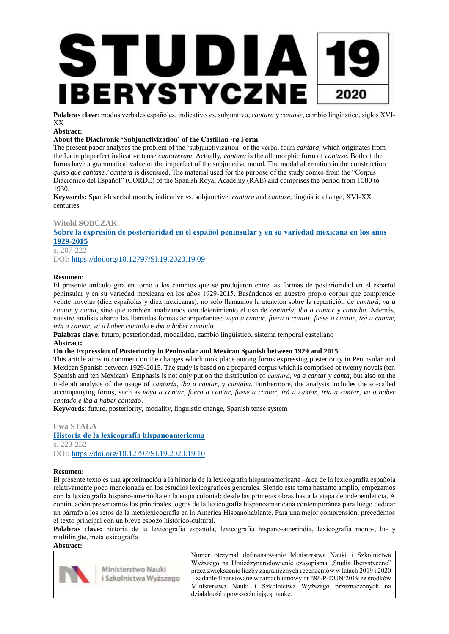

**Palabras clave**: modos verbales españoles, indicativo vs. subjuntivo, *cantara* y *cantase*, cambio lingüístico, siglos XVI-XX

#### **Abstract:**

### **About the Diachronic 'Subjunctivization' of the Castilian** *-ra* **Form**

The present paper analyses the problem of the 'subjunctivization' of the verbal form *cantara*, which originates from the Latin pluperfect indicative tense *cantaveram*. Actually, *cantara* is the allomorphic form of *cantase*. Both of the forms have a grammatical value of the imperfect of the subjunctive mood. The modal alternation in the construction *quiso que cantase / cantara* is discussed. The material used for the purpose of the study comes from the "Corpus Diacrónico del Español" (CORDE) of the Spanish Royal Academy (RAE) and comprises the period from 1580 to 1930.

**Keywords:** Spanish verbal moods, indicative vs. subjunctive, *cantara* and *cantase*, linguistic change, XVI-XX centuries

## **Witold SOBCZAK**

**[Sobre la expresión de posterioridad en el español peninsular y en su variedad mexicana en los años](https://filg.uj.edu.pl/documents/41616/148290867/2395.pdf/854214a5-7242-43af-ba03-0bfcb9898322)  [1929-2015](https://filg.uj.edu.pl/documents/41616/148290867/2395.pdf/854214a5-7242-43af-ba03-0bfcb9898322)**

s. 207-222

DOI: <https://doi.org/10.12797/SI.19.2020.19.09>

#### **Resumen:**

El presente artículo gira en torno a los cambios que se produjeron entre las formas de posterioridad en el español peninsular y en su variedad mexicana en los años 1929-2015. Basándonos en nuestro propio corpus que comprende veinte novelas (diez españolas y diez mexicanas), no solo llamamos la atención sobre la repartición de *cantará*, *va a cantar* y *canta*, sino que también analizamos con detenimiento el uso de *cantaría*, *iba a cantar* y *cantaba*. Además, nuestro análisis abarca las llamadas formas acompañantes: *vaya a cantar*, *fuera a cantar*, *fuese a cantar*, *irá a cantar*, *iría a cantar*, *va a haber cantado* e *iba a haber cantado*.

**Palabras clave**: futuro, posterioridad, modalidad, cambio lingüístico, sistema temporal castellano **Abstract:**

#### **On the Expression of Posteriority in Peninsular and Mexican Spanish between 1929 and 2015**

This article aims to comment on the changes which took place among forms expressing posteriority in Peninsular and Mexican Spanish between 1929-2015. The study is based on a prepared corpus which is comprised of twenty novels (ten Spanish and ten Mexican). Emphasis is not only put on the distribution of *cantará*, *va a cantar* y *canta*, but also on the in-depth analysis of the usage of *cantaría*, *iba a cantar*, y *cantaba*. Furthermore, the analysis includes the so-called accompanying forms, such as *vaya a cantar*, *fuera a cantar*, *fuese a cantar*, *irá a cantar*, *iría a cantar*, *va a haber cantado e iba a haber cantado*.

**Keywords**: future, posteriority, modality, linguistic change, Spanish tense system

#### **Ewa STALA**

**[Historia de la lexicografía hispanoamericana](https://filg.uj.edu.pl/documents/41616/148290867/2396.pdf/4f960ffb-9c57-42cf-b0bd-e0a4774fcc25)** s. 223-252 DOI: <https://doi.org/10.12797/SI.19.2020.19.10>

#### **Resumen:**

El presente texto es una aproximación a la historia de la lexicografía hispanoamericana –área de la lexicografía española relativamente poco mencionada en los estudios lexicográficos generales. Siendo este tema bastante amplio, empezamos con la lexicografía hispano-amerindia en la etapa colonial: desde las primeras obras hasta la etapa de independencia. A continuación presentamos los principales logros de la lexicografía hispanoamericana contemporánea para luego dedicar un párrafo a los retos de la metalexicografía en la América Hispanohablante. Para una mejor comprensión, precedemos el texto principal con un breve esbozo histórico-cultural.

**Palabras clave:** historia de la lexicografía española, lexicografía hispano-amerindia, lexicografía mono-, bi- y multilingüe, metalexicografía

**Abstract:**

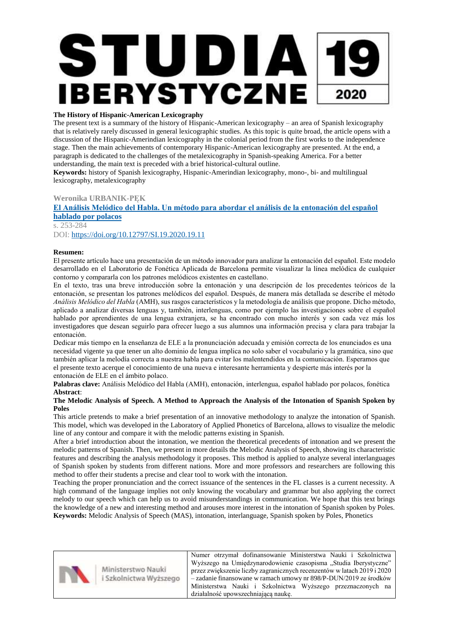## **The History of Hispanic-American Lexicography**

The present text is a summary of the history of Hispanic-American lexicography – an area of Spanish lexicography that is relatively rarely discussed in general lexicographic studies. As this topic is quite broad, the article opens with a discussion of the Hispanic-Amerindian lexicography in the colonial period from the first works to the independence stage. Then the main achievements of contemporary Hispanic-American lexicography are presented. At the end, a paragraph is dedicated to the challenges of the metalexicography in Spanish-speaking America. For a better understanding, the main text is preceded with a brief historical-cultural outline.

**Keywords:** history of Spanish lexicography, Hispanic-Amerindian lexicography, mono-, bi- and multilingual lexicography, metalexicography

**Weronika URBANIK-PĘK**

**[El Análisis Melódico del Habla. Un método para abordar el análisis de la entonación del español](https://filg.uj.edu.pl/documents/41616/148290867/2397.pdf/f8f1746b-565f-4457-9c0a-b37534dcca50)  [hablado por polacos](https://filg.uj.edu.pl/documents/41616/148290867/2397.pdf/f8f1746b-565f-4457-9c0a-b37534dcca50)**

s. 253-284 DOI: <https://doi.org/10.12797/SI.19.2020.19.11>

## **Resumen:**

El presente artículo hace una presentación de un método innovador para analizar la entonación del español. Este modelo desarrollado en el Laboratorio de Fonética Aplicada de Barcelona permite visualizar la línea melódica de cualquier contorno y compararla con los patrones melódicos existentes en castellano.

En el texto, tras una breve introducción sobre la entonación y una descripción de los precedentes teóricos de la entonación, se presentan los patrones melódicos del español. Después, de manera más detallada se describe el método *Análisis Melódico del Habla* (AMH), sus rasgos característicos y la metodología de análisis que propone. Dicho método, aplicado a analizar diversas lenguas y, también, interlenguas, como por ejemplo las investigaciones sobre el español hablado por aprendientes de una lengua extranjera, se ha encontrado con mucho interés y son cada vez más los investigadores que desean seguirlo para ofrecer luego a sus alumnos una información precisa y clara para trabajar la entonación.

Dedicar más tiempo en la enseñanza de ELE a la pronunciación adecuada y emisión correcta de los enunciados es una necesidad vigente ya que tener un alto dominio de lengua implica no solo saber el vocabulario y la gramática, sino que también aplicar la melodía correcta a nuestra habla para evitar los malentendidos en la comunicación. Esperamos que el presente texto acerque el conocimiento de una nueva e interesante herramienta y despierte más interés por la entonación de ELE en el ámbito polaco.

**Palabras clave:** Análisis Melódico del Habla (AMH), entonación, interlengua, español hablado por polacos, fonética **Abstract**:

## **The Melodic Analysis of Speech. A Method to Approach the Analysis of the Intonation of Spanish Spoken by Poles**

This article pretends to make a brief presentation of an innovative methodology to analyze the intonation of Spanish. This model, which was developed in the Laboratory of Applied Phonetics of Barcelona, allows to visualize the melodic line of any contour and compare it with the melodic patterns existing in Spanish.

After a brief introduction about the intonation, we mention the theoretical precedents of intonation and we present the melodic patterns of Spanish. Then, we present in more details the Melodic Analysis of Speech, showing its characteristic features and describing the analysis methodology it proposes. This method is applied to analyze several interlanguages of Spanish spoken by students from different nations. More and more professors and researchers are following this method to offer their students a precise and clear tool to work with the intonation.

Teaching the proper pronunciation and the correct issuance of the sentences in the FL classes is a current necessity. A high command of the language implies not only knowing the vocabulary and grammar but also applying the correct melody to our speech which can help us to avoid misunderstandings in communication. We hope that this text brings the knowledge of a new and interesting method and arouses more interest in the intonation of Spanish spoken by Poles. **Keywords:** Melodic Analysis of Speech (MAS), intonation, interlanguage, Spanish spoken by Poles, Phonetics

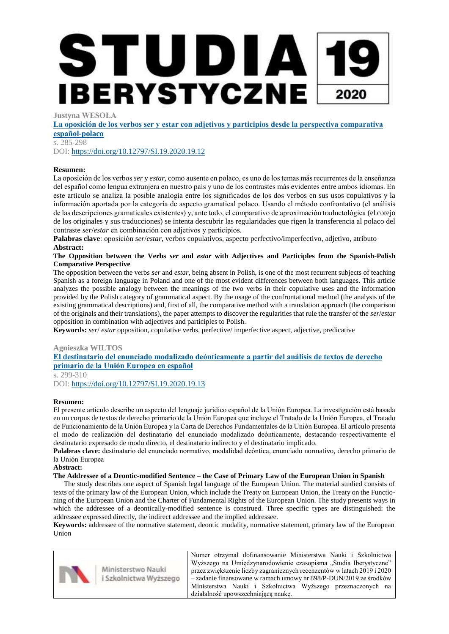**Justyna WESOŁA**

**[La oposición de los verbos ser y estar con adjetivos y participios desde la perspectiva comparativa](https://filg.uj.edu.pl/documents/41616/148290867/2398.pdf/96a80c96-7cbd-45dd-a960-dcb19262bb42)  [español-polaco](https://filg.uj.edu.pl/documents/41616/148290867/2398.pdf/96a80c96-7cbd-45dd-a960-dcb19262bb42)**

s. 285-298

DOI: <https://doi.org/10.12797/SI.19.2020.19.12>

## **Resumen:**

La oposición de los verbos *ser* y *estar*, como ausente en polaco, es uno de los temas más recurrentes de la enseñanza del español como lengua extranjera en nuestro país y uno de los contrastes más evidentes entre ambos idiomas. En este artículo se analiza la posible analogía entre los significados de los dos verbos en sus usos copulativos y la información aportada por la categoría de aspecto gramatical polaco. Usando el método confrontativo (el análisis de las descripciones gramaticales existentes) y, ante todo, el comparativo de aproximación traductológica (el cotejo de los originales y sus traducciones) se intenta descubrir las regularidades que rigen la transferencia al polaco del contraste *ser*/*estar* en combinación con adjetivos y participios.

**Palabras clave**: oposición *ser*/*estar*, verbos copulativos, aspecto perfectivo/imperfectivo, adjetivo, atributo **Abstract:**

#### **The Opposition between the Verbs** *ser* **and** *estar* **with Adjectives and Participles from the Spanish-Polish Comparative Perspective**

The opposition between the verbs *ser* and *estar*, being absent in Polish, is one of the most recurrent subjects of teaching Spanish as a foreign language in Poland and one of the most evident differences between both languages. This article analyzes the possible analogy between the meanings of the two verbs in their copulative uses and the information provided by the Polish category of grammatical aspect. By the usage of the confrontational method (the analysis of the existing grammatical descriptions) and, first of all, the comparative method with a translation approach (the comparison of the originals and their translations), the paper attempts to discover the regularities that rule the transfer of the *ser*/*estar*  opposition in combination with adjectives and participles to Polish.

**Keywords:** *ser*/ *estar* opposition, copulative verbs, perfective/ imperfective aspect, adjective, predicative

#### **Agnieszka WILTOS**

**[El destinatario del enunciado modalizado deónticamente a partir del análisis de textos de derecho](https://filg.uj.edu.pl/documents/41616/148290867/2399.pdf/a03e0cda-3d55-4a72-8948-ce75da2f50d6)  [primario de la Unión Europea en español](https://filg.uj.edu.pl/documents/41616/148290867/2399.pdf/a03e0cda-3d55-4a72-8948-ce75da2f50d6)**

s. 299-310

DOI: <https://doi.org/10.12797/SI.19.2020.19.13>

#### **Resumen:**

El presente artículo describe un aspecto del lenguaje jurídico español de la Unión Europea. La investigación está basada en un corpus de textos de derecho primario de la Unión Europea que incluye el Tratado de la Unión Europea, el Tratado de Funcionamiento de la Unión Europea y la Carta de Derechos Fundamentales de la Unión Europea. El artículo presenta el modo de realización del destinatario del enunciado modalizado deónticamente, destacando respectivamente el destinatario expresado de modo directo, el destinatario indirecto y el destinatario implicado.

**Palabras clave:** destinatario del enunciado normativo, modalidad deóntica, enunciado normativo, derecho primario de la Unión Europea

**Abstract:**

#### **The Addressee of a Deontic-modified Sentence – the Case of Primary Law of the European Union in Spanish**

The study describes one aspect of Spanish legal language of the European Union. The material studied consists of texts of the primary law of the European Union, which include the Treaty on European Union, the Treaty on the Functioning of the European Union and the Charter of Fundamental Rights of the European Union. The study presents ways in which the addressee of a deontically-modified sentence is construed. Three specific types are distinguished: the addressee expressed directly, the indirect addressee and the implied addressee.

**Keywords:** addressee of the normative statement, deontic modality, normative statement, primary law of the European Union